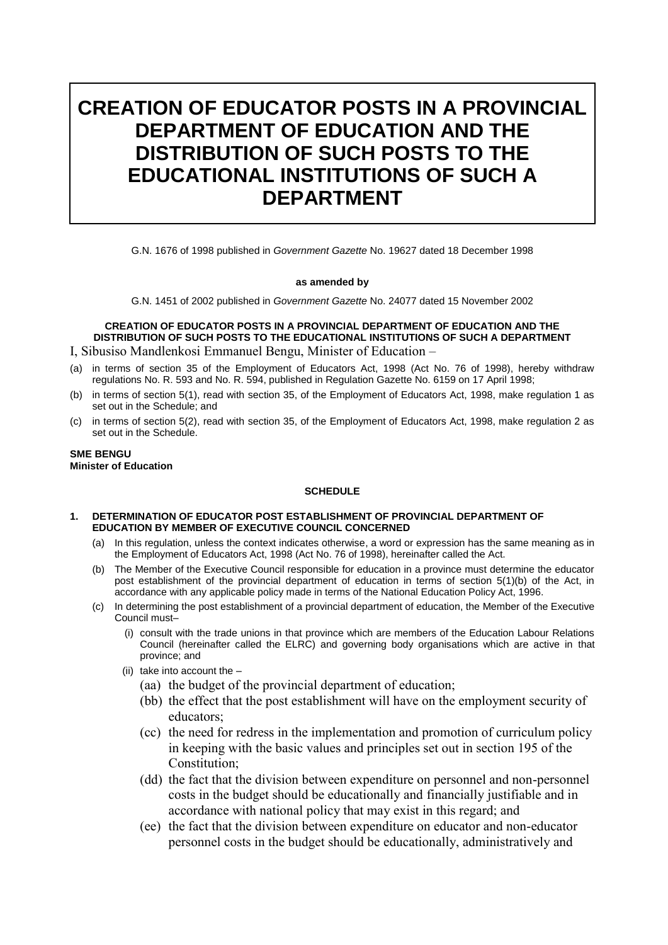# **CREATION OF EDUCATOR POSTS IN A PROVINCIAL DEPARTMENT OF EDUCATION AND THE DISTRIBUTION OF SUCH POSTS TO THE EDUCATIONAL INSTITUTIONS OF SUCH A DEPARTMENT**

G.N. 1676 of 1998 published in *Government Gazette* No. 19627 dated 18 December 1998

## **as amended by**

G.N. 1451 of 2002 published in *Government Gazette* No. 24077 dated 15 November 2002

## **CREATION OF EDUCATOR POSTS IN A PROVINCIAL DEPARTMENT OF EDUCATION AND THE DISTRIBUTION OF SUCH POSTS TO THE EDUCATIONAL INSTITUTIONS OF SUCH A DEPARTMENT**

- I, Sibusiso Mandlenkosi Emmanuel Bengu, Minister of Education –
- (a) in terms of section 35 of the Employment of Educators Act, 1998 (Act No. 76 of 1998), hereby withdraw regulations No. R. 593 and No. R. 594, published in Regulation Gazette No. 6159 on 17 April 1998;
- (b) in terms of section 5(1), read with section 35, of the Employment of Educators Act, 1998, make regulation 1 as set out in the Schedule; and
- (c) in terms of section 5(2), read with section 35, of the Employment of Educators Act, 1998, make regulation 2 as set out in the Schedule.

**SME BENGU Minister of Education** 

## **SCHEDULE**

## **1. DETERMINATION OF EDUCATOR POST ESTABLISHMENT OF PROVINCIAL DEPARTMENT OF EDUCATION BY MEMBER OF EXECUTIVE COUNCIL CONCERNED**

- (a) In this regulation, unless the context indicates otherwise, a word or expression has the same meaning as in the Employment of Educators Act, 1998 (Act No. 76 of 1998), hereinafter called the Act.
- (b) The Member of the Executive Council responsible for education in a province must determine the educator post establishment of the provincial department of education in terms of section 5(1)(b) of the Act, in accordance with any applicable policy made in terms of the National Education Policy Act, 1996.
- (c) In determining the post establishment of a provincial department of education, the Member of the Executive Council must–
	- (i) consult with the trade unions in that province which are members of the Education Labour Relations Council (hereinafter called the ELRC) and governing body organisations which are active in that province; and
	- (ii) take into account the
		- (aa) the budget of the provincial department of education;
		- (bb) the effect that the post establishment will have on the employment security of educators;
		- (cc) the need for redress in the implementation and promotion of curriculum policy in keeping with the basic values and principles set out in section 195 of the Constitution;
		- (dd) the fact that the division between expenditure on personnel and non-personnel costs in the budget should be educationally and financially justifiable and in accordance with national policy that may exist in this regard; and
		- (ee) the fact that the division between expenditure on educator and non-educator personnel costs in the budget should be educationally, administratively and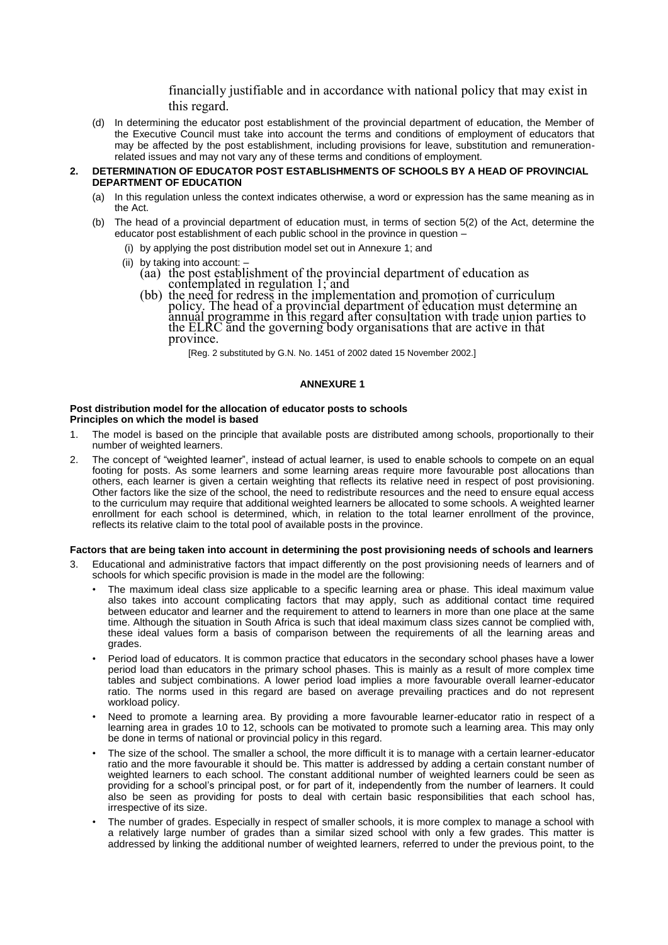financially justifiable and in accordance with national policy that may exist in this regard.

(d) In determining the educator post establishment of the provincial department of education, the Member of the Executive Council must take into account the terms and conditions of employment of educators that may be affected by the post establishment, including provisions for leave, substitution and remunerationrelated issues and may not vary any of these terms and conditions of employment.

### **2. DETERMINATION OF EDUCATOR POST ESTABLISHMENTS OF SCHOOLS BY A HEAD OF PROVINCIAL DEPARTMENT OF EDUCATION**

- (a) In this regulation unless the context indicates otherwise, a word or expression has the same meaning as in the Act.
- (b) The head of a provincial department of education must, in terms of section 5(2) of the Act, determine the educator post establishment of each public school in the province in question –
	- (i) by applying the post distribution model set out in Annexure 1; and
	- (ii) by taking into account:
		- (aa) the post establishment of the provincial department of education as contemplated in regulation 1; and
		- (bb) the need for redress in the implementation and promotion of curriculum policy. The head of a provincial department of education must determine an annual programme in this regard after consultation with trade union parties to the ELRC and the governing body organisations that are active in that province.

[Reg. 2 substituted by G.N. No. 1451 of 2002 dated 15 November 2002.]

## **ANNEXURE 1**

#### **Post distribution model for the allocation of educator posts to schools Principles on which the model is based**

- 1. The model is based on the principle that available posts are distributed among schools, proportionally to their number of weighted learners.
- 2. The concept of "weighted learner", instead of actual learner, is used to enable schools to compete on an equal footing for posts. As some learners and some learning areas require more favourable post allocations than others, each learner is given a certain weighting that reflects its relative need in respect of post provisioning. Other factors like the size of the school, the need to redistribute resources and the need to ensure equal access to the curriculum may require that additional weighted learners be allocated to some schools. A weighted learner enrollment for each school is determined, which, in relation to the total learner enrollment of the province, reflects its relative claim to the total pool of available posts in the province.

#### **Factors that are being taken into account in determining the post provisioning needs of schools and learners**

- 3. Educational and administrative factors that impact differently on the post provisioning needs of learners and of schools for which specific provision is made in the model are the following:
	- The maximum ideal class size applicable to a specific learning area or phase. This ideal maximum value also takes into account complicating factors that may apply, such as additional contact time required between educator and learner and the requirement to attend to learners in more than one place at the same time. Although the situation in South Africa is such that ideal maximum class sizes cannot be complied with, these ideal values form a basis of comparison between the requirements of all the learning areas and grades.
	- Period load of educators. It is common practice that educators in the secondary school phases have a lower period load than educators in the primary school phases. This is mainly as a result of more complex time tables and subject combinations. A lower period load implies a more favourable overall learner-educator ratio. The norms used in this regard are based on average prevailing practices and do not represent workload policy.
	- Need to promote a learning area. By providing a more favourable learner-educator ratio in respect of a learning area in grades 10 to 12, schools can be motivated to promote such a learning area. This may only be done in terms of national or provincial policy in this regard.
	- The size of the school. The smaller a school, the more difficult it is to manage with a certain learner-educator ratio and the more favourable it should be. This matter is addressed by adding a certain constant number of weighted learners to each school. The constant additional number of weighted learners could be seen as providing for a school's principal post, or for part of it, independently from the number of learners. It could also be seen as providing for posts to deal with certain basic responsibilities that each school has, irrespective of its size.
	- The number of grades. Especially in respect of smaller schools, it is more complex to manage a school with a relatively large number of grades than a similar sized school with only a few grades. This matter is addressed by linking the additional number of weighted learners, referred to under the previous point, to the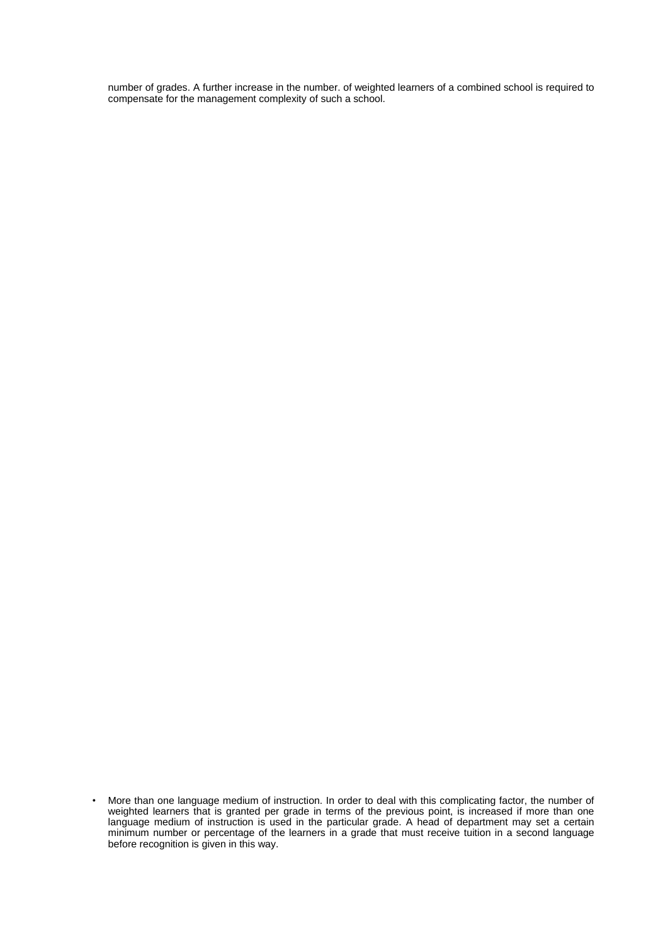number of grades. A further increase in the number. of weighted learners of a combined school is required to compensate for the management complexity of such a school.

<sup>•</sup> More than one language medium of instruction. In order to deal with this complicating factor, the number of weighted learners that is granted per grade in terms of the previous point, is increased if more than one language medium of instruction is used in the particular grade. A head of department may set a certain minimum number or percentage of the learners in a grade that must receive tuition in a second language before recognition is given in this way.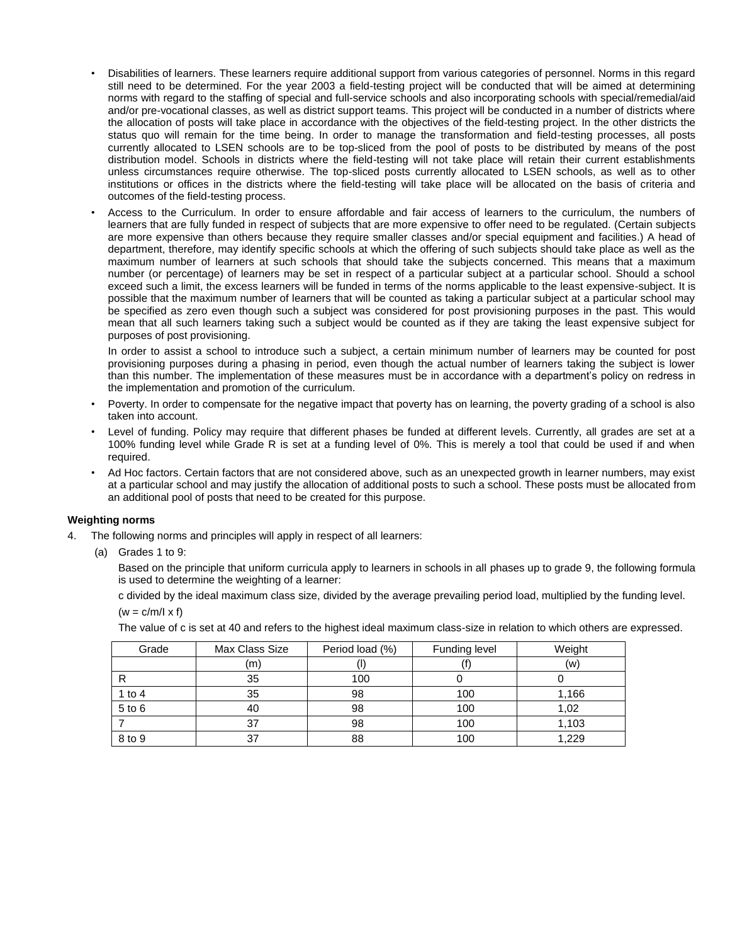- Disabilities of learners. These learners require additional support from various categories of personnel. Norms in this regard still need to be determined. For the year 2003 a field-testing project will be conducted that will be aimed at determining norms with regard to the staffing of special and full-service schools and also incorporating schools with special/remedial/aid and/or pre-vocational classes, as well as district support teams. This project will be conducted in a number of districts where the allocation of posts will take place in accordance with the objectives of the field-testing project. In the other districts the status quo will remain for the time being. In order to manage the transformation and field-testing processes, all posts currently allocated to LSEN schools are to be top-sliced from the pool of posts to be distributed by means of the post distribution model. Schools in districts where the field-testing will not take place will retain their current establishments unless circumstances require otherwise. The top-sliced posts currently allocated to LSEN schools, as well as to other institutions or offices in the districts where the field-testing will take place will be allocated on the basis of criteria and outcomes of the field-testing process.
- Access to the Curriculum. In order to ensure affordable and fair access of learners to the curriculum, the numbers of learners that are fully funded in respect of subjects that are more expensive to offer need to be regulated. (Certain subjects are more expensive than others because they require smaller classes and/or special equipment and facilities.) A head of department, therefore, may identify specific schools at which the offering of such subjects should take place as well as the maximum number of learners at such schools that should take the subjects concerned. This means that a maximum number (or percentage) of learners may be set in respect of a particular subject at a particular school. Should a school exceed such a limit, the excess learners will be funded in terms of the norms applicable to the least expensive-subject. It is possible that the maximum number of learners that will be counted as taking a particular subject at a particular school may be specified as zero even though such a subject was considered for post provisioning purposes in the past. This would mean that all such learners taking such a subject would be counted as if they are taking the least expensive subject for purposes of post provisioning.

In order to assist a school to introduce such a subject, a certain minimum number of learners may be counted for post provisioning purposes during a phasing in period, even though the actual number of learners taking the subject is lower than this number. The implementation of these measures must be in accordance with a department's policy on redress in the implementation and promotion of the curriculum.

- Poverty. In order to compensate for the negative impact that poverty has on learning, the poverty grading of a school is also taken into account.
- Level of funding. Policy may require that different phases be funded at different levels. Currently, all grades are set at a 100% funding level while Grade R is set at a funding level of 0%. This is merely a tool that could be used if and when required.
- Ad Hoc factors. Certain factors that are not considered above, such as an unexpected growth in learner numbers, may exist at a particular school and may justify the allocation of additional posts to such a school. These posts must be allocated from an additional pool of posts that need to be created for this purpose.

## **Weighting norms**

- The following norms and principles will apply in respect of all learners:
	- (a) Grades 1 to 9:

Based on the principle that uniform curricula apply to learners in schools in all phases up to grade 9, the following formula is used to determine the weighting of a learner:

c divided by the ideal maximum class size, divided by the average prevailing period load, multiplied by the funding level.  $(w = c/m/l \times f)$ 

The value of c is set at 40 and refers to the highest ideal maximum class-size in relation to which others are expressed.

| Grade    | Max Class Size | Period load (%) | Funding level | Weight |
|----------|----------------|-----------------|---------------|--------|
|          | (m)            |                 |               | (w)    |
| R        | 35             | 100             |               |        |
| 1 to $4$ | 35             | 98              | 100           | 1,166  |
| 5 to 6   | 40             | 98              | 100           | 1,02   |
|          | 37             | 98              | 100           | 1,103  |
| 8 to 9   | 37             | 88              | 100           | 1,229  |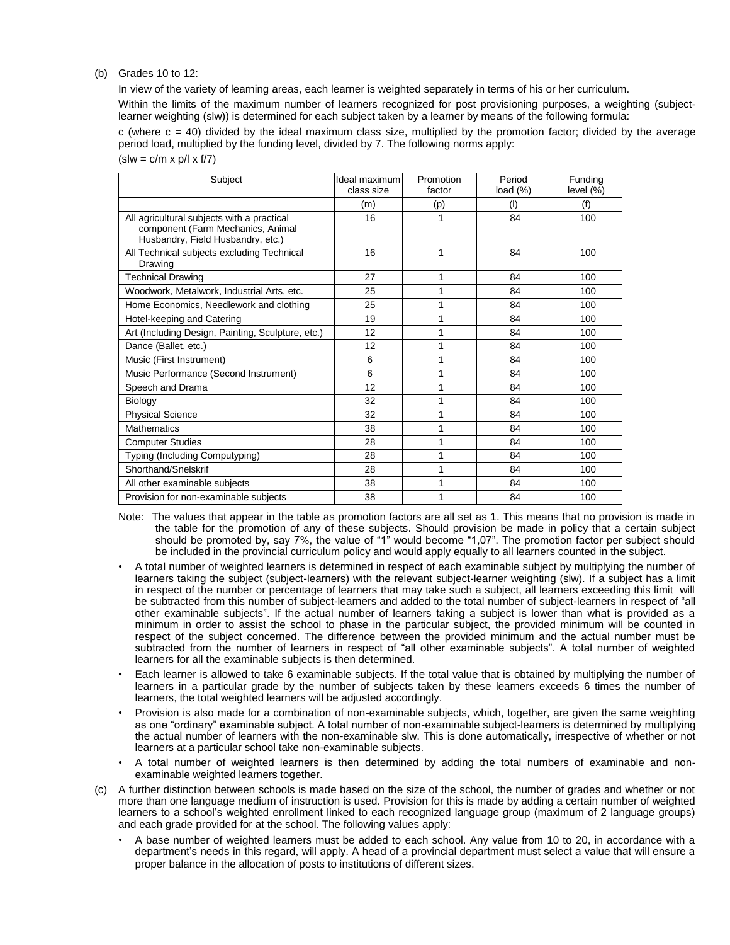## (b) Grades 10 to 12:

In view of the variety of learning areas, each learner is weighted separately in terms of his or her curriculum.

Within the limits of the maximum number of learners recognized for post provisioning purposes, a weighting (subjectlearner weighting (slw)) is determined for each subject taken by a learner by means of the following formula:

 $c$  (where  $c = 40$ ) divided by the ideal maximum class size, multiplied by the promotion factor; divided by the average period load, multiplied by the funding level, divided by 7. The following norms apply:  $(slw = c/m \times p/l \times f/7)$ 

| Subject                                                                                                              | Ideal maximum<br>class size | Promotion<br>factor | Period<br>load (%) | Funding<br>level $(\%)$ |
|----------------------------------------------------------------------------------------------------------------------|-----------------------------|---------------------|--------------------|-------------------------|
|                                                                                                                      | (m)                         | (p)                 | (1)                | (f)                     |
| All agricultural subjects with a practical<br>component (Farm Mechanics, Animal<br>Husbandry, Field Husbandry, etc.) | 16                          | 1                   | 84                 | 100                     |
| All Technical subjects excluding Technical<br>Drawing                                                                | 16                          | 1                   | 84                 | 100                     |
| <b>Technical Drawing</b>                                                                                             | 27                          | 1                   | 84                 | 100                     |
| Woodwork, Metalwork, Industrial Arts, etc.                                                                           | 25                          | 1                   | 84                 | 100                     |
| Home Economics, Needlework and clothing                                                                              | 25                          | 1                   | 84                 | 100                     |
| Hotel-keeping and Catering                                                                                           | 19                          | 1                   | 84                 | 100                     |
| Art (Including Design, Painting, Sculpture, etc.)                                                                    | 12                          | 1                   | 84                 | 100                     |
| Dance (Ballet, etc.)                                                                                                 | 12                          | 1                   | 84                 | 100                     |
| Music (First Instrument)                                                                                             | 6                           | 1                   | 84                 | 100                     |
| Music Performance (Second Instrument)                                                                                | 6                           | 1                   | 84                 | 100                     |
| Speech and Drama                                                                                                     | 12                          | 1                   | 84                 | 100                     |
| Biology                                                                                                              | 32                          | 1                   | 84                 | 100                     |
| <b>Physical Science</b>                                                                                              | 32                          | 1                   | 84                 | 100                     |
| <b>Mathematics</b>                                                                                                   | 38                          | 1                   | 84                 | 100                     |
| <b>Computer Studies</b>                                                                                              | 28                          | 1                   | 84                 | 100                     |
| Typing (Including Computyping)                                                                                       | 28                          | 1                   | 84                 | 100                     |
| Shorthand/Snelskrif                                                                                                  | 28                          | 1                   | 84                 | 100                     |
| All other examinable subjects                                                                                        | 38                          | 1                   | 84                 | 100                     |
| Provision for non-examinable subjects                                                                                | 38                          | 1                   | 84                 | 100                     |

- Note: The values that appear in the table as promotion factors are all set as 1. This means that no provision is made in the table for the promotion of any of these subjects. Should provision be made in policy that a certain subject should be promoted by, say 7%, the value of "1" would become "1,07". The promotion factor per subject should be included in the provincial curriculum policy and would apply equally to all learners counted in the subject.
- A total number of weighted learners is determined in respect of each examinable subject by multiplying the number of learners taking the subject (subject-learners) with the relevant subject-learner weighting (slw). If a subject has a limit in respect of the number or percentage of learners that may take such a subject, all learners exceeding this limit will be subtracted from this number of subject-learners and added to the total number of subject-learners in respect of "all other examinable subjects". If the actual number of learners taking a subject is lower than what is provided as a minimum in order to assist the school to phase in the particular subject, the provided minimum will be counted in respect of the subject concerned. The difference between the provided minimum and the actual number must be subtracted from the number of learners in respect of "all other examinable subjects". A total number of weighted learners for all the examinable subjects is then determined.
- Each learner is allowed to take 6 examinable subjects. If the total value that is obtained by multiplying the number of learners in a particular grade by the number of subjects taken by these learners exceeds 6 times the number of learners, the total weighted learners will be adjusted accordingly.
- Provision is also made for a combination of non-examinable subjects, which, together, are given the same weighting as one "ordinary" examinable subject. A total number of non-examinable subject-learners is determined by multiplying the actual number of learners with the non-examinable slw. This is done automatically, irrespective of whether or not learners at a particular school take non-examinable subjects.
- A total number of weighted learners is then determined by adding the total numbers of examinable and nonexaminable weighted learners together.
- (c) A further distinction between schools is made based on the size of the school, the number of grades and whether or not more than one language medium of instruction is used. Provision for this is made by adding a certain number of weighted learners to a school's weighted enrollment linked to each recognized language group (maximum of 2 language groups) and each grade provided for at the school. The following values apply:
	- A base number of weighted learners must be added to each school. Any value from 10 to 20, in accordance with a department's needs in this regard, will apply. A head of a provincial department must select a value that will ensure a proper balance in the allocation of posts to institutions of different sizes.